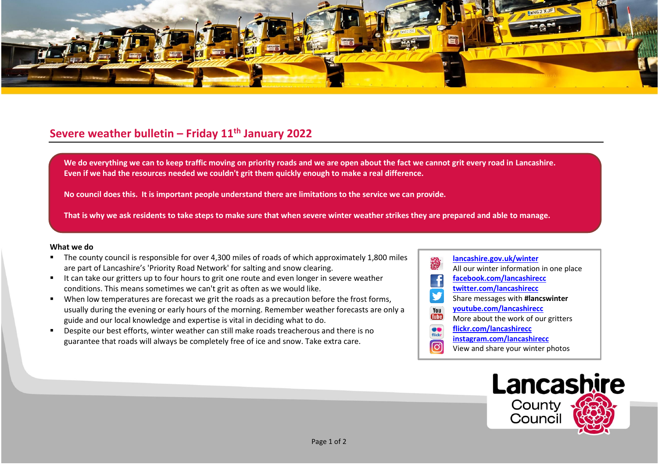

## **Severe weather bulletin – Friday 11th January 2022**

We do everything we can to keep traffic moving on priority roads and we are open about the fact we cannot grit every road in Lancashire. **Even if we had the resources needed we couldn't grit them quickly enough to make a real difference.**

**No council does this. It is important people understand there are limitations to the service we can provide.**

**That is why we ask residents to take steps to make sure that when severe winter weather strikes they are prepared and able to manage.**

## **What we do**

- The county council is responsible for over 4,300 miles of roads of which approximately 1,800 miles are part of Lancashire's 'Priority Road Network' for salting and snow clearing.
- It can take our gritters up to four hours to grit one route and even longer in severe weather conditions. This means sometimes we can't grit as often as we would like.
- When low temperatures are forecast we grit the roads as a precaution before the frost forms, usually during the evening or early hours of the morning. Remember weather forecasts are only a guide and our local knowledge and expertise is vital in deciding what to do.
- Despite our best efforts, winter weather can still make roads treacherous and there is no guarantee that roads will always be completely free of ice and snow. Take extra care.
- **[lancashire.gov.uk/winter](http://www.lancashire.gov.uk/winter)** All our winter information in one place **[facebook.com/lancashirecc](http://www.facebook.com/lancashirecc) [twitter.com/lancashirecc](http://www.twitter.com/lancashirecc)** y Share messages with **#lancswinter [youtube.com/lancashirecc](http://www.youtube.com/lancashirecc)** You **Tilte** More about the work of our gritters  $\bullet$ **[flickr.com/lancashirecc](http://www.flickr.com/lancashirecc)** flickr **[instagram.com/lancashirecc](http://www.instagram.com/lancashirecc)** ြင View and share your winter photos